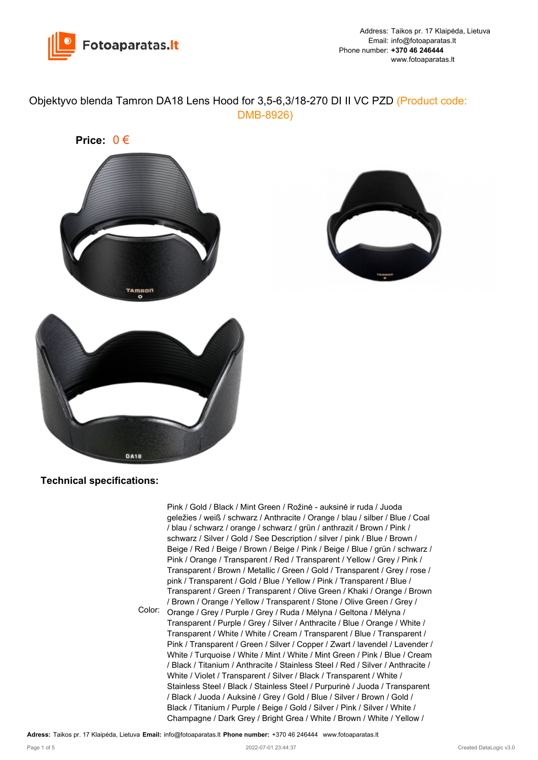

Objektyvo blenda Tamron DA18 Lens Hood for 3,5-6,3/18-270 DI II VC PZD (Product code: DMB-8926)





Color: Orange / Grey / Purple / Grey / Ruda / Mėlyna / Geltona / Mėlyna / Pink / Gold / Black / Mint Green / Rožinė - auksinė ir ruda / Juoda geležies / weiß / schwarz / Anthracite / Orange / blau / silber / Blue / Coal / blau / schwarz / orange / schwarz / grün / anthrazit / Brown / Pink / schwarz / Silver / Gold / See Description / silver / pink / Blue / Brown / Beige / Red / Beige / Brown / Beige / Pink / Beige / Blue / grün / schwarz / Pink / Orange / Transparent / Red / Transparent / Yellow / Grey / Pink / Transparent / Brown / Metallic / Green / Gold / Transparent / Grey / rose / pink / Transparent / Gold / Blue / Yellow / Pink / Transparent / Blue / Transparent / Green / Transparent / Olive Green / Khaki / Orange / Brown / Brown / Orange / Yellow / Transparent / Stone / Olive Green / Grey / Transparent / Purple / Grey / Silver / Anthracite / Blue / Orange / White / Transparent / White / White / Cream / Transparent / Blue / Transparent / Pink / Transparent / Green / Silver / Copper / Zwart / lavendel / Lavender / White / Turquoise / White / Mint / White / Mint Green / Pink / Blue / Cream / Black / Titanium / Anthracite / Stainless Steel / Red / Silver / Anthracite / White / Violet / Transparent / Silver / Black / Transparent / White / Stainless Steel / Black / Stainless Steel / Purpurinė / Juoda / Transparent / Black / Juoda / Auksinė / Grey / Gold / Blue / Silver / Brown / Gold / Black / Titanium / Purple / Beige / Gold / Silver / Pink / Silver / White / Champagne / Dark Grey / Bright Grea / White / Brown / White / Yellow /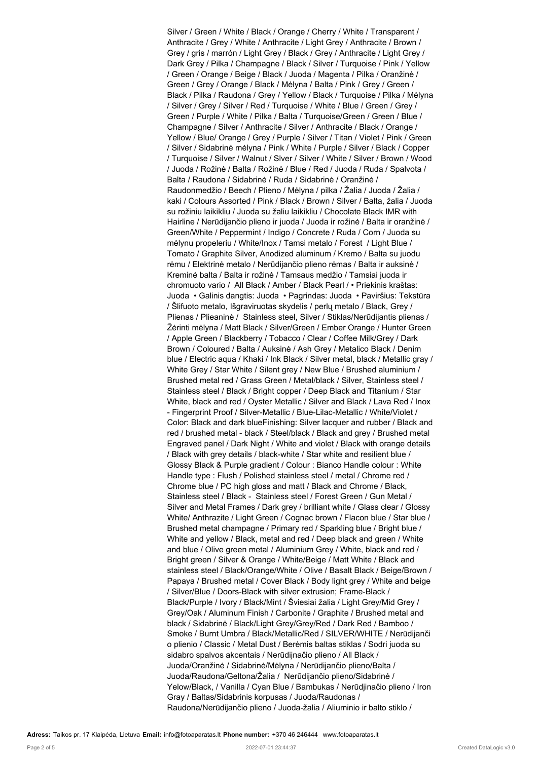Silver / Green / White / Black / Orange / Cherry / White / Transparent / Anthracite / Grey / White / Anthracite / Light Grey / Anthracite / Brown / Grey / gris / marrón / Light Grey / Black / Grey / Anthracite / Light Grey / Dark Grey / Pilka / Champagne / Black / Silver / Turquoise / Pink / Yellow / Green / Orange / Beige / Black / Juoda / Magenta / Pilka / Oranžinė / Green / Grey / Orange / Black / Mėlyna / Balta / Pink / Grey / Green / Black / Pilka / Raudona / Grey / Yellow / Black / Turquoise / Pilka / Mėlyna / Silver / Grey / Silver / Red / Turquoise / White / Blue / Green / Grey / Green / Purple / White / Pilka / Balta / Turquoise/Green / Green / Blue / Champagne / Silver / Anthracite / Silver / Anthracite / Black / Orange / Yellow / Blue/ Orange / Grey / Purple / Silver / Titan / Violet / Pink / Green / Silver / Sidabrinė mėlyna / Pink / White / Purple / Silver / Black / Copper / Turquoise / Silver / Walnut / Slver / Silver / White / Silver / Brown / Wood / Juoda / Rožinė / Balta / Rožinė / Blue / Red / Juoda / Ruda / Spalvota / Balta / Raudona / Sidabrinė / Ruda / Sidabrinė / Oranžinė / Raudonmedžio / Beech / Plieno / Mėlyna / pilka / Žalia / Juoda / Žalia / kaki / Colours Assorted / Pink / Black / Brown / Silver / Balta, žalia / Juoda su rožiniu laikikliu / Juoda su žaliu laikikliu / Chocolate Black IMR with Hairline / Nerūdijančio plieno ir juoda / Juoda ir rožinė / Balta ir oranžinė / Green/White / Peppermint / Indigo / Concrete / Ruda / Corn / Juoda su mėlynu propeleriu / White/Inox / Tamsi metalo / Forest / Light Blue / Tomato / Graphite Silver, Anodized aluminum / Kremo / Balta su juodu rėmu / Elektrinė metalo / Nerūdijančio plieno rėmas / Balta ir auksinė / Kreminė balta / Balta ir rožinė / Tamsaus medžio / Tamsiai juoda ir chromuoto vario / All Black / Amber / Black Pearl / • Priekinis kraštas: Juoda • Galinis dangtis: Juoda • Pagrindas: Juoda • Paviršius: Tekstūra / Šlifuoto metalo, Išgraviruotas skydelis / perlų metalo / Black, Grey / Plienas / Plieaninė / Stainless steel, Silver / Stiklas/Nerūdijantis plienas / Žėrinti mėlyna / Matt Black / Silver/Green / Ember Orange / Hunter Green / Apple Green / Blackberry / Tobacco / Clear / Coffee Milk/Grey / Dark Brown / Coloured / Balta / Auksinė / Ash Grey / Metalico Black / Denim blue / Electric aqua / Khaki / Ink Black / Silver metal, black / Metallic gray / White Grey / Star White / Silent grey / New Blue / Brushed aluminium / Brushed metal red / Grass Green / Metal/black / Silver, Stainless steel / Stainless steel / Black / Bright copper / Deep Black and Titanium / Star White, black and red / Oyster Metallic / Silver and Black / Lava Red / Inox - Fingerprint Proof / Silver-Metallic / Blue-Lilac-Metallic / White/Violet / Color: Black and dark blueFinishing: Silver lacquer and rubber / Black and red / brushed metal - black / Steel/black / Black and grey / Brushed metal Engraved panel / Dark Night / White and violet / Black with orange details / Black with grey details / black-white / Star white and resilient blue / Glossy Black & Purple gradient / Colour : Bianco Handle colour : White Handle type : Flush / Polished stainless steel / metal / Chrome red / Chrome blue / PC high gloss and matt / Black and Chrome / Black, Stainless steel / Black - Stainless steel / Forest Green / Gun Metal / Silver and Metal Frames / Dark grey / brilliant white / Glass clear / Glossy White/ Anthrazite / Light Green / Cognac brown / Flacon blue / Star blue / Brushed metal champagne / Primary red / Sparkling blue / Bright blue / White and yellow / Black, metal and red / Deep black and green / White and blue / Olive green metal / Aluminium Grey / White, black and red / Bright green / Silver & Orange / White/Beige / Matt White / Black and stainless steel / Black/Orange/White / Olive / Basalt Black / Beige/Brown / Papaya / Brushed metal / Cover Black / Body light grey / White and beige / Silver/Blue / Doors-Black with silver extrusion; Frame-Black / Black/Purple / Ivory / Black/Mint / Šviesiai žalia / Light Grey/Mid Grey / Grey/Oak / Aluminum Finish / Carbonite / Graphite / Brushed metal and black / Sidabrinė / Black/Light Grey/Grey/Red / Dark Red / Bamboo / Smoke / Burnt Umbra / Black/Metallic/Red / SILVER/WHITE / Nerūdijanči o plienio / Classic / Metal Dust / Berėmis baltas stiklas / Sodri juoda su sidabro spalvos akcentais / Nerūdijnačio plieno / All Black / Juoda/Oranžinė / Sidabrinė/Mėlyna / Nerūdijančio plieno/Balta / Juoda/Raudona/Geltona/Žalia / Nerūdijančio plieno/Sidabrinė / Yelow/Black, / Vanilla / Cyan Blue / Bambukas / Nerūdijnačio plieno / Iron Gray / Baltas/Sidabrinis korpusas / Juoda/Raudonas / Raudona/Nerūdijančio plieno / Juoda-žalia / Aliuminio ir balto stiklo /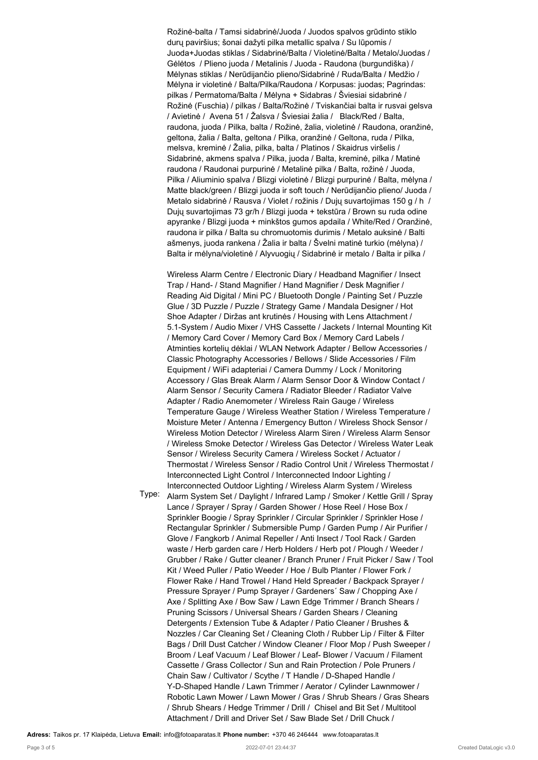Rožinė-balta / Tamsi sidabrinė/Juoda / Juodos spalvos grūdinto stiklo durų paviršius; šonai dažyti pilka metallic spalva / Su lūpomis / Juoda+Juodas stiklas / Sidabrinė/Balta / Violetinė/Balta / Metalo/Juodas / Gėlėtos / Plieno juoda / Metalinis / Juoda - Raudona (burgundiška) / Mėlynas stiklas / Nerūdijančio plieno/Sidabrinė / Ruda/Balta / Medžio / Mėlyna ir violetinė / Balta/Pilka/Raudona / Korpusas: juodas; Pagrindas: pilkas / Permatoma/Balta / Mėlyna + Sidabras / Šviesiai sidabrinė / Rožinė (Fuschia) / pilkas / Balta/Rožinė / Tviskančiai balta ir rusvai gelsva / Avietinė / Avena 51 / Žalsva / Šviesiai žalia / Black/Red / Balta, raudona, juoda / Pilka, balta / Rožinė, žalia, violetinė / Raudona, oranžinė, geltona, žalia / Balta, geltona / Pilka, oranžinė / Geltona, ruda / Pilka, melsva, kreminė / Žalia, pilka, balta / Platinos / Skaidrus viršelis / Sidabrinė, akmens spalva / Pilka, juoda / Balta, kreminė, pilka / Matinė raudona / Raudonai purpurinė / Metalinė pilka / Balta, rožinė / Juoda, Pilka / Aliuminio spalva / Blizgi violetinė / Blizgi purpurinė / Balta, mėlyna / Matte black/green / Blizgi juoda ir soft touch / Nerūdijančio plieno/ Juoda / Metalo sidabrinė / Rausva / Violet / rožinis / Dujų suvartojimas 150 g / h / Dujų suvartojimas 73 gr/h / Blizgi juoda + tekstūra / Brown su ruda odine apyranke / Blizgi juoda + minkštos gumos apdaila / White/Red / Oranžinė, raudona ir pilka / Balta su chromuotomis durimis / Metalo auksinė / Balti ašmenys, juoda rankena / Žalia ir balta / Švelni matinė turkio (mėlyna) / Balta ir mėlyna/violetinė / Alyvuogių / Sidabrinė ir metalo / Balta ir pilka /

Wireless Alarm Centre / Electronic Diary / Headband Magnifier / Insect Trap / Hand- / Stand Magnifier / Hand Magnifier / Desk Magnifier / Reading Aid Digital / Mini PC / Bluetooth Dongle / Painting Set / Puzzle Glue / 3D Puzzle / Puzzle / Strategy Game / Mandala Designer / Hot Shoe Adapter / Diržas ant krutinės / Housing with Lens Attachment / 5.1-System / Audio Mixer / VHS Cassette / Jackets / Internal Mounting Kit / Memory Card Cover / Memory Card Box / Memory Card Labels / Atminties kortelių dėklai / WLAN Network Adapter / Bellow Accessories / Classic Photography Accessories / Bellows / Slide Accessories / Film Equipment / WiFi adapteriai / Camera Dummy / Lock / Monitoring Accessory / Glas Break Alarm / Alarm Sensor Door & Window Contact / Alarm Sensor / Security Camera / Radiator Bleeder / Radiator Valve Adapter / Radio Anemometer / Wireless Rain Gauge / Wireless Temperature Gauge / Wireless Weather Station / Wireless Temperature / Moisture Meter / Antenna / Emergency Button / Wireless Shock Sensor / Wireless Motion Detector / Wireless Alarm Siren / Wireless Alarm Sensor / Wireless Smoke Detector / Wireless Gas Detector / Wireless Water Leak Sensor / Wireless Security Camera / Wireless Socket / Actuator / Thermostat / Wireless Sensor / Radio Control Unit / Wireless Thermostat / Interconnected Light Control / Interconnected Indoor Lighting / Interconnected Outdoor Lighting / Wireless Alarm System / Wireless

Type:

Alarm System Set / Daylight / Infrared Lamp / Smoker / Kettle Grill / Spray Lance / Sprayer / Spray / Garden Shower / Hose Reel / Hose Box / Sprinkler Boogie / Spray Sprinkler / Circular Sprinkler / Sprinkler Hose / Rectangular Sprinkler / Submersible Pump / Garden Pump / Air Purifier / Glove / Fangkorb / Animal Repeller / Anti Insect / Tool Rack / Garden waste / Herb garden care / Herb Holders / Herb pot / Plough / Weeder / Grubber / Rake / Gutter cleaner / Branch Pruner / Fruit Picker / Saw / Tool Kit / Weed Puller / Patio Weeder / Hoe / Bulb Planter / Flower Fork / Flower Rake / Hand Trowel / Hand Held Spreader / Backpack Sprayer / Pressure Sprayer / Pump Sprayer / Gardeners´ Saw / Chopping Axe / Axe / Splitting Axe / Bow Saw / Lawn Edge Trimmer / Branch Shears / Pruning Scissors / Universal Shears / Garden Shears / Cleaning Detergents / Extension Tube & Adapter / Patio Cleaner / Brushes & Nozzles / Car Cleaning Set / Cleaning Cloth / Rubber Lip / Filter & Filter Bags / Drill Dust Catcher / Window Cleaner / Floor Mop / Push Sweeper / Broom / Leaf Vacuum / Leaf Blower / Leaf- Blower / Vacuum / Filament Cassette / Grass Collector / Sun and Rain Protection / Pole Pruners / Chain Saw / Cultivator / Scythe / T Handle / D-Shaped Handle / Y-D-Shaped Handle / Lawn Trimmer / Aerator / Cylinder Lawnmower / Robotic Lawn Mower / Lawn Mower / Gras / Shrub Shears / Gras Shears / Shrub Shears / Hedge Trimmer / Drill / Chisel and Bit Set / Multitool Attachment / Drill and Driver Set / Saw Blade Set / Drill Chuck /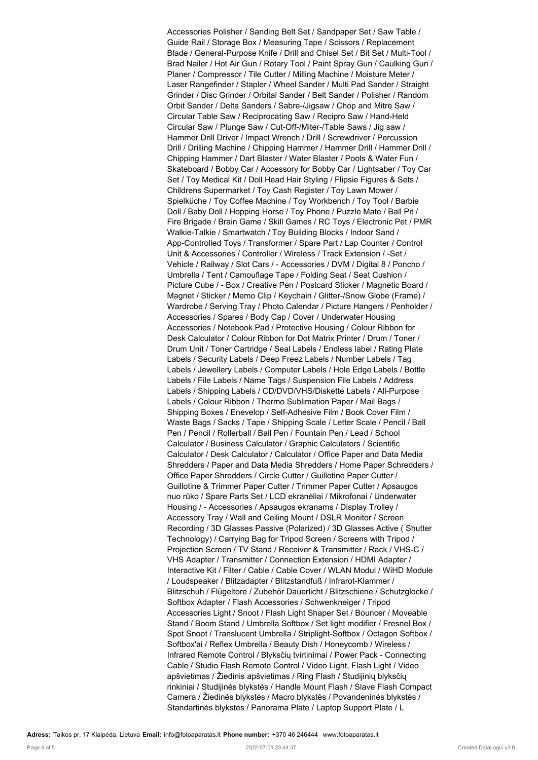Accessories Polisher / Sanding Belt Set / Sandpaper Set / Saw Table / Guide Rail / Storage Box / Measuring Tape / Scissors / Replacement Blade / General-Purpose Knife / Drill and Chisel Set / Bit Set / Multi-Tool / Brad Nailer / Hot Air Gun / Rotary Tool / Paint Spray Gun / Caulking Gun / Planer / Compressor / Tile Cutter / Milling Machine / Moisture Meter / Laser Rangefinder / Stapler / Wheel Sander / Multi Pad Sander / Straight Grinder / Disc Grinder / Orbital Sander / Belt Sander / Polisher / Random Orbit Sander / Delta Sanders / Sabre-/Jigsaw / Chop and Mitre Saw / Circular Table Saw / Reciprocating Saw / Recipro Saw / Hand-Held Circular Saw / Plunge Saw / Cut-Off-/Miter-/Table Saws / Jig saw / Hammer Drill Driver / Impact Wrench / Drill / Screwdriver / Percussion Drill / Drilling Machine / Chipping Hammer / Hammer Drill / Hammer Drill / Chipping Hammer / Dart Blaster / Water Blaster / Pools & Water Fun / Skateboard / Bobby Car / Accessory for Bobby Car / Lightsaber / Toy Car Set / Toy Medical Kit / Doll Head Hair Styling / Flipsie Figures & Sets / Childrens Supermarket / Toy Cash Register / Toy Lawn Mower / Spielküche / Toy Coffee Machine / Toy Workbench / Toy Tool / Barbie Doll / Baby Doll / Hopping Horse / Toy Phone / Puzzle Mate / Ball Pit / Fire Brigade / Brain Game / Skill Games / RC Toys / Electronic Pet / PMR Walkie-Talkie / Smartwatch / Toy Building Blocks / Indoor Sand / App-Controlled Toys / Transformer / Spare Part / Lap Counter / Control Unit & Accessories / Controller / Wireless / Track Extension / -Set / Vehicle / Railway / Slot Cars / - Accessories / DVM / Digital 8 / Poncho / Umbrella / Tent / Camouflage Tape / Folding Seat / Seat Cushion / Picture Cube / - Box / Creative Pen / Postcard Sticker / Magnetic Board / Magnet / Sticker / Memo Clip / Keychain / Glitter-/Snow Globe (Frame) / Wardrobe / Serving Tray / Photo Calendar / Picture Hangers / Penholder / Accessories / Spares / Body Cap / Cover / Underwater Housing Accessories / Notebook Pad / Protective Housing / Colour Ribbon for Desk Calculator / Colour Ribbon for Dot Matrix Printer / Drum / Toner / Drum Unit / Toner Cartridge / Seal Labels / Endless label / Rating Plate Labels / Security Labels / Deep Freez Labels / Number Labels / Tag Labels / Jewellery Labels / Computer Labels / Hole Edge Labels / Bottle Labels / File Labels / Name Tags / Suspension File Labels / Address Labels / Shipping Labels / CD/DVD/VHS/Diskette Labels / All-Purpose Labels / Colour Ribbon / Thermo Sublimation Paper / Mail Bags / Shipping Boxes / Enevelop / Self-Adhesive Film / Book Cover Film / Waste Bags / Sacks / Tape / Shipping Scale / Letter Scale / Pencil / Ball Pen / Pencil / Rollerball / Ball Pen / Fountain Pen / Lead / School Calculator / Business Calculator / Graphic Calculators / Scientific Calculator / Desk Calculator / Calculator / Office Paper and Data Media Shredders / Paper and Data Media Shredders / Home Paper Schredders / Office Paper Shredders / Circle Cutter / Guillotine Paper Cutter / Guillotine & Trimmer Paper Cutter / Trimmer Paper Cutter / Apsaugos nuo rūko / Spare Parts Set / LCD ekranėliai / Mikrofonai / Underwater Housing / - Accessories / Apsaugos ekranams / Display Trolley / Accessory Tray / Wall and Ceiling Mount / DSLR Monitor / Screen Recording / 3D Glasses Passive (Polarized) / 3D Glasses Active ( Shutter Technology) / Carrying Bag for Tripod Screen / Screens with Tripod / Projection Screen / TV Stand / Receiver & Transmitter / Rack / VHS-C / VHS Adapter / Transmitter / Connection Extension / HDMI Adapter / Interactive Kit / Filter / Cable / Cable Cover / WLAN Modul / WiHD Module / Loudspeaker / Blitzadapter / Blitzstandfuß / Infrarot-Klammer / Blitzschuh / Flügeltore / Zubehör Dauerlicht / Blitzschiene / Schutzglocke / Softbox Adapter / Flash Accessories / Schwenkneiger / Tripod Accessories Light / Snoot / Flash Light Shaper Set / Bouncer / Moveable Stand / Boom Stand / Umbrella Softbox / Set light modifier / Fresnel Box / Spot Snoot / Translucent Umbrella / Striplight-Softbox / Octagon Softbox / Softbox'ai / Reflex Umbrella / Beauty Dish / Honeycomb / Wireless / Infrared Remote Control / Blyksčių tvirtinimai / Power Pack - Connecting Cable / Studio Flash Remote Control / Video Light, Flash Light / Video apšvietimas / Žiedinis apšvietimas / Ring Flash / Studijinių blyksčių rinkiniai / Studijinės blykstės / Handle Mount Flash / Slave Flash Compact Camera / Žiedinės blykstės / Macro blykstės / Povandeninės blykstės / Standartinės blykstės / Panorama Plate / Laptop Support Plate / L